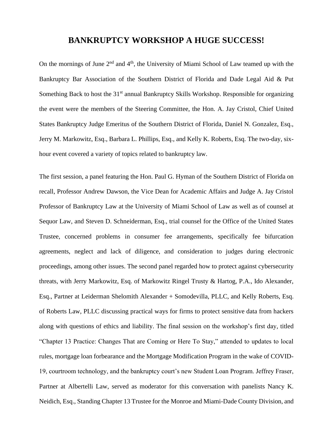## **BANKRUPTCY WORKSHOP A HUGE SUCCESS!**

On the mornings of June  $2<sup>nd</sup>$  and  $4<sup>th</sup>$ , the University of Miami School of Law teamed up with the Bankruptcy Bar Association of the Southern District of Florida and Dade Legal Aid & Put Something Back to host the 31<sup>st</sup> annual Bankruptcy Skills Workshop. Responsible for organizing the event were the members of the Steering Committee, the Hon. A. Jay Cristol, Chief United States Bankruptcy Judge Emeritus of the Southern District of Florida, Daniel N. Gonzalez, Esq., Jerry M. Markowitz, Esq., Barbara L. Phillips, Esq., and Kelly K. Roberts, Esq. The two-day, sixhour event covered a variety of topics related to bankruptcy law.

The first session, a panel featuring the Hon. Paul G. Hyman of the Southern District of Florida on recall, Professor Andrew Dawson, the Vice Dean for Academic Affairs and Judge A. Jay Cristol Professor of Bankruptcy Law at the University of Miami School of Law as well as of counsel at Sequor Law, and Steven D. Schneiderman, Esq., trial counsel for the Office of the United States Trustee, concerned problems in consumer fee arrangements, specifically fee bifurcation agreements, neglect and lack of diligence, and consideration to judges during electronic proceedings, among other issues. The second panel regarded how to protect against cybersecurity threats, with Jerry Markowitz, Esq. of Markowitz Ringel Trusty & Hartog, P.A., Ido Alexander, Esq., Partner at Leiderman Shelomith Alexander + Somodevilla, PLLC, and Kelly Roberts, Esq. of Roberts Law, PLLC discussing practical ways for firms to protect sensitive data from hackers along with questions of ethics and liability. The final session on the workshop's first day, titled "Chapter 13 Practice: Changes That are Coming or Here To Stay," attended to updates to local rules, mortgage loan forbearance and the Mortgage Modification Program in the wake of COVID-19, courtroom technology, and the bankruptcy court's new Student Loan Program. Jeffrey Fraser, Partner at Albertelli Law, served as moderator for this conversation with panelists Nancy K. Neidich, Esq., Standing Chapter 13 Trustee for the Monroe and Miami-Dade County Division, and